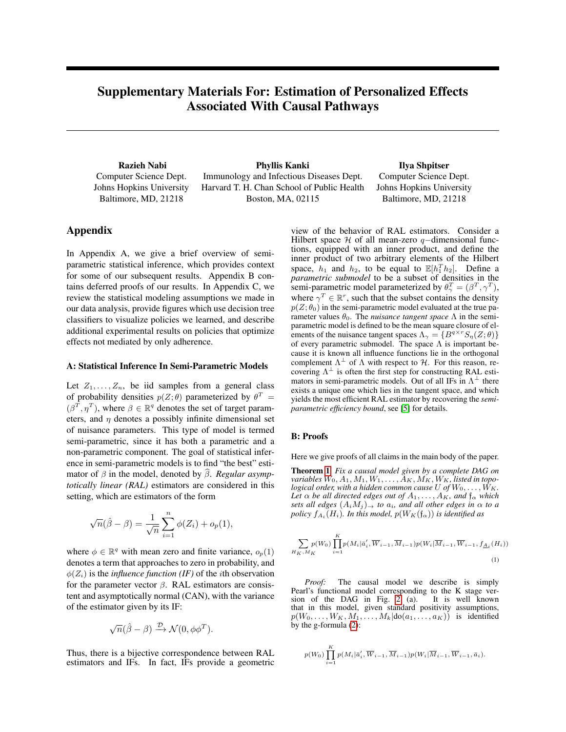# <span id="page-0-0"></span>Supplementary Materials For: Estimation of Personalized Effects Associated With Causal Pathways

Razieh Nabi Computer Science Dept. Johns Hopkins University Baltimore, MD, 21218

Phyllis Kanki Immunology and Infectious Diseases Dept. Harvard T. H. Chan School of Public Health Boston, MA, 02115

Ilya Shpitser Computer Science Dept. Johns Hopkins University Baltimore, MD, 21218

# Appendix

In Appendix A, we give a brief overview of semiparametric statistical inference, which provides context for some of our subsequent results. Appendix B contains deferred proofs of our results. In Appendix C, we review the statistical modeling assumptions we made in our data analysis, provide figures which use decision tree classifiers to visualize policies we learned, and describe additional experimental results on policies that optimize effects not mediated by only adherence.

# A: Statistical Inference In Semi-Parametric Models

Let  $Z_1, \ldots, Z_n$ , be iid samples from a general class of probability densities  $p(Z; \theta)$  parameterized by  $\theta^T =$  $(\beta^T, \eta^T)$ , where  $\beta \in \mathbb{R}^q$  denotes the set of target parameters, and  $\eta$  denotes a possibly infinite dimensional set of nuisance parameters. This type of model is termed semi-parametric, since it has both a parametric and a non-parametric component. The goal of statistical inference in semi-parametric models is to find "the best" estimator of  $\beta$  in the model, denoted by  $\widehat{\beta}$ . *Regular asymptotically linear (RAL)* estimators are considered in this setting, which are estimators of the form

$$
\sqrt{n}(\hat{\beta} - \beta) = \frac{1}{\sqrt{n}} \sum_{i=1}^{n} \phi(Z_i) + o_p(1),
$$

where  $\phi \in \mathbb{R}^q$  with mean zero and finite variance,  $o_p(1)$ denotes a term that approaches to zero in probability, and  $\phi(Z_i)$  is the *influence function (IF)* of the *i*th observation for the parameter vector  $\beta$ . RAL estimators are consistent and asymptotically normal (CAN), with the variance of the estimator given by its IF:

$$
\sqrt{n}(\hat{\beta} - \beta) \xrightarrow{\mathcal{D}} \mathcal{N}(0, \phi \phi^T).
$$

Thus, there is a bijective correspondence between RAL estimators and IFs. In fact, IFs provide a geometric view of the behavior of RAL estimators. Consider a Hilbert space  $H$  of all mean-zero q–dimensional functions, equipped with an inner product, and define the inner product of two arbitrary elements of the Hilbert space,  $h_1$  and  $h_2$ , to be equal to  $\mathbb{E}[h_1^T h_2]$ . Define a *parametric submodel* to be a subset of densities in the semi-parametric model parameterized by  $\theta_{\gamma}^{T} = (\beta^{T}, \gamma^{T}),$ where  $\gamma^T \in \mathbb{R}^r$ , such that the subset contains the density  $p(Z; \theta_0)$  in the semi-parametric model evaluated at the true parameter values  $\theta_0$ . The *nuisance tangent space*  $\Lambda$  in the semiparametric model is defined to be the mean square closure of elements of the nuisance tangent spaces  $\Lambda_{\gamma} = \{B^{q \times r} S_{\eta}(Z; \theta)\}$ of every parametric submodel. The space  $\Lambda$  is important because it is known all influence functions lie in the orthogonal complement  $\Lambda^{\perp}$  of  $\Lambda$  with respect to  $\mathcal{H}$ . For this reason, recovering  $\Lambda^{\perp}$  is often the first step for constructing RAL estimators in semi-parametric models. Out of all IFs in  $\Lambda^{\perp}$  there exists a unique one which lies in the tangent space, and which yields the most efficient RAL estimator by recovering the *semiparametric efficiency bound*, see [\[5\]](#page-4-0) for details.

#### B: Proofs

Here we give proofs of all claims in the main body of the paper.

Theorem 1 *Fix a causal model given by a complete DAG on*  $variables W_0, A_1, M_1, W_1, \ldots, \bar{A}_K, M_K, W_K,$  listed in topo*logical order, with a hidden common cause* U of  $W_0, \ldots, W_K$ . *Let*  $\alpha$  *be all directed edges out of*  $A_1, \ldots, A_K$ *, and*  $\mathfrak{f}_\alpha$  *which sets all edges*  $(A_iM_i) \rightarrow$  *to*  $a_i$ *, and all other edges in*  $\alpha$  *to* a policy  $f_{A_i}(H_i)$ . In this model,  $p(W_K(\mathfrak{f}_{\alpha}))$  is identified as

$$
\sum_{H_K,M_K} p(W_0) \prod_{i=1}^K p(M_i | \overline{a}'_i, \overline{W}_{i-1}, \overline{M}_{i-1}) p(W_i | \overline{M}_{i-1}, \overline{W}_{i-1}, f_{\underline{A}_i}(H_i))
$$
\n(1)

*Proof:* The causal model we describe is simply Pearl's functional model corresponding to the K stage ver-<br>sion of the DAG in Fig. 2 (a). It is well known sion of the DAG in Fig.  $2^{(n)}$  (a). that in this model, given standard positivity assumptions,  $p(W_0, \ldots, W_K, M_1, \ldots, M_k | \text{do}(a_1, \ldots, a_K))$  is identified by the g-formula (2):

$$
p(W_0) \prod_{i=1}^K p(M_i | \overline{a}'_i, \overline{W}_{i-1}, \overline{M}_{i-1}) p(W_i | \overline{M}_{i-1}, \overline{W}_{i-1}, \overline{a}_i).
$$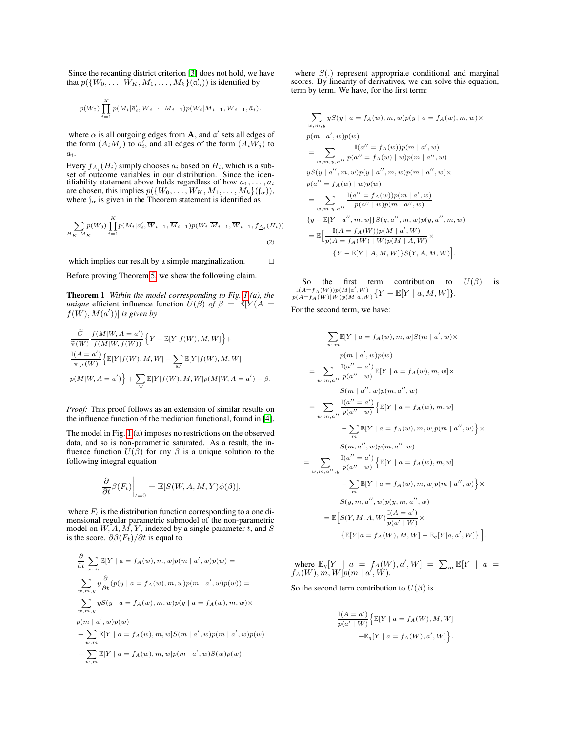Since the recanting district criterion [\[3\]](#page-4-1) does not hold, we have that  $p(\{W_0, \ldots, \tilde{W_K}, M_1, \ldots, M_k\} \tilde{(\mathfrak{a}'_\alpha)})$  is identified by

$$
p(W_0) \prod_{i=1}^K p(M_i | \overline{a}'_i, \overline{W}_{i-1}, \overline{M}_{i-1}) p(W_i | \overline{M}_{i-1}, \overline{W}_{i-1}, \overline{a}_i).
$$

where  $\alpha$  is all outgoing edges from **A**, and  $\mathfrak{a}'$  sets all edges of the form  $(A_iM_j)$  to  $a'_i$ , and all edges of the form  $(A_i\tilde{W}_j)$  to  $a_i$ .

Every  $f_{A_i}(H_i)$  simply chooses  $a_i$  based on  $H_i$ , which is a subset of outcome variables in our distribution. Since the identifiability statement above holds regardless of how  $a_1, \ldots, a_i$ are chosen, this implies  $p({W_0, \ldots, W_K, M_1, \ldots, M_k})({f_\alpha})),$ where  $f_{\alpha}$  is given in the Theorem statement is identified as

$$
\sum_{H_K, M_K} p(W_0) \prod_{i=1}^K p(M_i | \bar{a}'_i, \overline{W}_{i-1}, \overline{M}_{i-1}) p(W_i | \overline{M}_{i-1}, \overline{W}_{i-1}, f_{\underline{A}_i}(H_i))
$$
\n(2)

which implies our result by a simple marginalization.  $\square$ 

Before proving Theorem [5,](#page-0-0) we show the following claim.

Theorem 1 *Within the model corresponding to Fig. [1](#page-0-0) (a), the unique* efficient influence function  $U(\beta)$  *of*  $\beta = \mathbb{E}[Y(A =$  $f(W), M(a'))$  *is given by* 

$$
\label{eq:2.1} \begin{split} &\frac{\tilde{C}}{\tilde{\pi}(W)}\frac{f(M|W,A=a')}{f(M|W,f(W))}\Big\{Y-\mathbb{E}[Y|f(W),M,W]\Big\}+\\ &\frac{\mathbb{I}(A=a')}{\pi_{a'}(W)}\Big\{\mathbb{E}[Y|f(W),M,W]-\sum_{M}\mathbb{E}[Y|f(W),M,W]\\ &p(M|W,A=a')\Big\}+\sum_{M}\mathbb{E}[Y|f(W),M,W]p(M|W,A=a')-\beta. \end{split}
$$

*Proof:* This proof follows as an extension of similar results on the influence function of the mediation functional, found in [\[4\]](#page-4-2).

The model in Fig. [1](#page-0-0) (a) imposes no restrictions on the observed data, and so is non-parametric saturated. As a result, the influence function  $U(\beta)$  for any  $\beta$  is a unique solution to the following integral equation

$$
\left. \frac{\partial}{\partial t} \beta(F_t) \right|_{t=0} = \mathbb{E}[S(W, A, M, Y) \phi(\beta)],
$$

where  $F_t$  is the distribution function corresponding to a one dimensional regular parametric submodel of the non-parametric model on  $W, A, M, Y$ , indexed by a single parameter t, and S is the score.  $\partial \beta(F_t)/\partial t$  is equal to

$$
\label{eq:1.1} \begin{aligned} &\frac{\partial}{\partial t}\sum_{w,m}\mathbb{E}[Y\mid a=f_A(w),m,w]p(m\mid a',w)p(w)=\\ &\sum_{w,m,y}y\frac{\partial}{\partial t}(p(y\mid a=f_A(w),m,w)p(m\mid a',w)p(w))=\\ &\sum_{w,m,y}yS(y\mid a=f_A(w),m,w)p(y\mid a=f_A(w),m,w)\times\\ &p(m\mid a',w)p(w)\\ &+\sum_{w,m}\mathbb{E}[Y\mid a=f_A(w),m,w]S(m\mid a',w)p(m\mid a',w)p(w)\\ &+\sum_{w,m}\mathbb{E}[Y\mid a=f_A(w),m,w]p(m\mid a',w)S(w)p(w), \end{aligned}
$$

where  $S(.)$  represent appropriate conditional and marginal scores. By linearity of derivatives, we can solve this equation, term by term. We have, for the first term:

$$
\sum_{w,m,y} yS(y \mid a = f_A(w), m, w)p(y \mid a = f_A(w), m, w) \times
$$
  
\n
$$
p(m \mid a', w)p(w)
$$
  
\n
$$
= \sum_{w,m,y,a''} \frac{\mathbb{I}(a'' = f_A(w))p(m \mid a', w)}{p(a'' = f_A(w) \mid w)p(m \mid a'', w)}
$$
  
\n
$$
yS(y \mid a'', m, w)p(y \mid a'', m, w)p(m \mid a'', w) \times
$$
  
\n
$$
p(a'' = f_A(w) \mid w)p(w)
$$
  
\n
$$
= \sum_{w,m,y,a''} \frac{\mathbb{I}(a'' = f_A(w))p(m \mid a', w)}{p(a'' \mid w)p(m \mid a'', w)}
$$
  
\n
$$
\{y - \mathbb{E}[Y \mid a'', m, w]\} S(y, a'', m, w)p(y, a'', m, w)
$$
  
\n
$$
= \mathbb{E}\Big[\frac{\mathbb{I}(A = f_A(W))p(M \mid a', W)}{p(A = f_A(W) \mid W)p(M \mid A, W)} \times
$$
  
\n
$$
\{Y - \mathbb{E}[Y \mid A, M, W]\} S(Y, A, M, W)\Big].
$$

So the first term contribution to  $U(\beta)$  is  $\frac{\mathbb{I}(A=f_A(W))p(M|a',W)}{p(A=f_A(W)|W)p(M|a,W)}\{Y-\mathbb{E}[Y \mid a, M, W]\}.$ 

For the second term, we have:

$$
\sum_{w,m} \mathbb{E}[Y \mid a = f_A(w), m, w] S(m \mid a', w) \times
$$
  
\n
$$
p(m \mid a', w)p(w)
$$
  
\n
$$
= \sum_{w,m,a''} \frac{\mathbb{I}(a'' = a')}{p(a'' \mid w)} \mathbb{E}[Y \mid a = f_A(w), m, w] \times
$$
  
\n
$$
S(m \mid a'', w)p(m, a'', w)
$$
  
\n
$$
= \sum_{w,m,a''} \frac{\mathbb{I}(a'' = a')}{p(a'' \mid w)} \{ \mathbb{E}[Y \mid a = f_A(w), m, w]
$$
  
\n
$$
- \sum_{m} \mathbb{E}[Y \mid a = f_A(w), m, w] p(m \mid a'', w) \} \times
$$
  
\n
$$
S(m, a'', w)p(m, a'', w)
$$
  
\n
$$
= \sum_{w,m,a'',y} \frac{\mathbb{I}(a'' = a')}{p(a'' \mid w)} \{ \mathbb{E}[Y \mid a = f_A(w), m, w] p(m \mid a'', w) \} \times
$$
  
\n
$$
S(y, m, a'', w)p(y, m, a'', w)
$$
  
\n
$$
= \mathbb{E}[S(Y, M, A, W)] \frac{\mathbb{I}(A = a')}{p(a'' \mid W)} \times
$$
  
\n
$$
\{ \mathbb{E}[Y \mid a = f_A(W), M, W] - \mathbb{E}_q[Y \mid a, a', W] \} ].
$$

where  $\mathbb{E}_q[Y \mid a = f_A(W), a', W] = \sum_m \mathbb{E}[Y \mid a =$  $f_A(W), m, W]p(m \mid a', W).$ 

So the second term contribution to  $U(\beta)$  is

$$
\frac{\mathbb{I}(A=a')}{p(a'\mid W)}\Big\{\mathbb{E}[Y\mid a=f_A(W), M, W] - \mathbb{E}_q[Y\mid a=f_A(W), a', W]\Big\}.
$$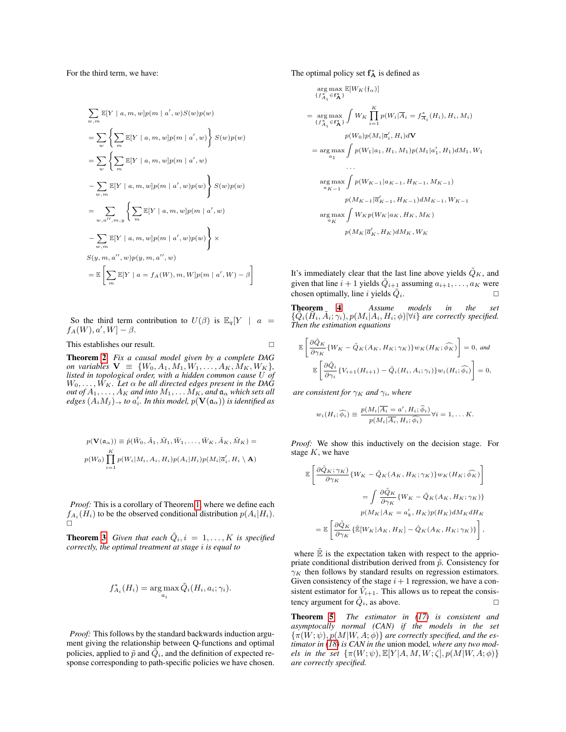For the third term, we have:

$$
\sum_{w,m} \mathbb{E}[Y \mid a, m, w]p(m \mid a', w)S(w)p(w)
$$
\n
$$
= \sum_{w} \left\{ \sum_{m} \mathbb{E}[Y \mid a, m, w]p(m \mid a', w) \right\} S(w)p(w)
$$
\n
$$
= \sum_{w} \left\{ \sum_{m} \mathbb{E}[Y \mid a, m, w]p(m \mid a', w)
$$
\n
$$
- \sum_{w,m} \mathbb{E}[Y \mid a, m, w]p(m \mid a', w)p(w) \right\} S(w)p(w)
$$
\n
$$
= \sum_{w,a'', m,y} \left\{ \sum_{m} \mathbb{E}[Y \mid a, m, w]p(m \mid a', w)
$$
\n
$$
- \sum_{w,m} \mathbb{E}[Y \mid a, m, w]p(m \mid a', w)p(w) \right\} \times
$$
\n
$$
S(y, m, a'', w)p(y, m, a'', w)
$$
\n
$$
= \mathbb{E} \left[ \sum_{m} \mathbb{E}[Y \mid a = f_A(W), m, W]p(m \mid a', W) - \beta \right]
$$

So the third term contribution to  $U(\beta)$  is  $\mathbb{E}_q[Y \mid a =$  $f_A(W), a', W] - \beta.$ 

This establishes our result.

Theorem [2](#page-0-0) *Fix a causal model given by a complete DAG on variables*  $V \equiv \{W_0, A_1, M_1, W_1, \ldots, A_K, M_K, W_K\},\$ *listed in topological order, with a hidden common cause* U *of*  $W_0, \ldots, W_K$ . Let  $\alpha$  be all directed edges present in the DAG  $\it{out of A_1, \ldots, A_K}$  and into  $M_1, \ldots M_K$ , and  $\mathfrak{a}_\alpha$  which sets all  $\textit{edges}~(A_iM_j)_{\rightarrow}$  to  $a'_i$ . In this model,  $p(\mathbf{V}(\mathfrak{a}_{\alpha}))$  is identified as

$$
p(\mathbf{V}(\mathfrak{a}_{\alpha})) \equiv \tilde{p}(\tilde{W}_0, \tilde{A}_1, \tilde{M}_1, \tilde{W}_1, \dots, \tilde{W}_K, \tilde{A}_K, \tilde{M}_K) =
$$
  

$$
p(W_0) \prod_{i=1}^K p(W_i|M_i, A_i, H_i) p(A_i|H_i) p(M_i|\overline{a}_i', H_i \setminus \mathbf{A})
$$

*Proof:* This is a corollary of Theorem [1,](#page-0-0) where we define each  $f_{A_i}(H_i)$  to be the observed conditional distribution  $p(A_i|H_i)$ .  $\Box$ 

**Theorem [3](#page-0-0)** Given that each  $\tilde{Q}_i$ ,  $i = 1, \ldots, K$  is specified *correctly, the optimal treatment at stage* i *is equal to*

$$
f_{A_i}^*(H_i) = \arg \max_{a_i} \tilde{Q}_i(H_i, a_i; \gamma_i).
$$

*Proof:* This follows by the standard backwards induction argument giving the relationship between Q-functions and optimal policies, applied to  $\tilde{p}$  and  $\tilde{Q}_i$ , and the definition of expected response corresponding to path-specific policies we have chosen. The optimal policy set  $f_A^*$  is defined as

$$
\arg \max_{\{f_{A_i}^* \in \mathbf{f}_{\mathbf{A}}^* \}} \mathbb{E}[W_K(\mathfrak{f}_{\alpha})]
$$
\n
$$
\{f_{A_i}^* \in \mathbf{f}_{\mathbf{A}}^* \} [W_K \prod_{i=1}^K p(W_i | \overline{A}_i = f_{\overline{A}_i}^*(H_i), H_i, M_i)
$$
\n
$$
p(W_0) p(M_i | \overline{a}'_i, H_i) d\mathbf{V}
$$
\n
$$
= \arg \max_{a_1} \int p(W_1 | a_1, H_1, M_1) p(M_1 | a'_1, H_1) dM_1, W_1
$$
\n...\n
$$
\arg \max_{a_{K-1}} \int p(W_{K-1} | a_{K-1}, H_{K-1}, M_{K-1})
$$
\n
$$
p(M_{K-1} | \overline{a}'_{K-1}, H_{K-1}) dM_{K-1}, W_{K-1}
$$
\n
$$
\arg \max_{a_K} \int W_K p(W_K | a_K, H_K, M_K)
$$
\n
$$
p(M_K | \overline{a}'_K, H_K) dM_K, W_K
$$

It's immediately clear that the last line above yields  $\tilde{Q}_K$ , and given that line  $i + 1$  yields  $\tilde{Q}_{i+1}$  assuming  $a_{i+1}, \ldots, a_K$  were chosen optimally, line i yields  $\tilde{Q}_i$ .

Theorem [4](#page-0-0) *Assume models in the set*  $\{\tilde{Q}_i(\tilde{H}_i, \tilde{A}_i; \gamma_i), p(M_i|A_i, H_i; \phi) | \forall i\}$  are correctly specified. *Then the estimation equations*

$$
\mathbb{E}\left[\frac{\partial \tilde{Q}_K}{\partial \gamma_K} \{W_K - \tilde{Q}_K(A_K, H_K; \gamma_K)\} w_K(H_K; \widehat{\phi_K})\right] = 0, \text{ and}
$$

$$
\mathbb{E}\left[\frac{\partial \tilde{Q}_i}{\partial \gamma_i} \{V_{i+1}(H_{i+1}) - \tilde{Q}_i(H_i, A_i; \gamma_i)\} w_i(H_i; \widehat{\phi}_i)\right] = 0,
$$

*are consistent for*  $\gamma_K$  *and*  $\gamma_i$ *, where* 

$$
w_i(H_i; \widehat{\phi_i}) \equiv \frac{p(M_i | \overline{A_i} = a', H_i; \widehat{\phi_i})}{p(M_i | \overline{A_i}, H_i; \widehat{\phi_i})} \forall i = 1, \dots K.
$$

*Proof:* We show this inductively on the decision stage. For stage  $K$ , we have

$$
\begin{split} \mathbb{E}\left[\frac{\partial \tilde{Q}_{K};\gamma_{K}}{\partial \gamma_{K}}\{W_{K}-\tilde{Q}_{K}(A_{K},H_{K};\gamma_{K})\}w_{K}(H_{K};\widehat{\phi_{K}})\right] \\ =\int\frac{\partial \tilde{Q}_{K}}{\partial \gamma_{K}}\{W_{K}-\tilde{Q}_{K}(A_{K},H_{K};\gamma_{K})\} \\ p(M_{K}|A_{K}=a'_{k},H_{K})p(H_{K})dM_{K}dH_{K} \\ =\mathbb{E}\left[\frac{\partial \tilde{Q}_{K}}{\partial \gamma_{K}}\{\tilde{\mathbb{E}}[W_{K}|A_{K},H_{K}]-\tilde{Q}_{K}(A_{K},H_{K};\gamma_{K})\}\right], \end{split}
$$

where  $\mathbb{\tilde{E}}$  is the expectation taken with respect to the appriopriate conditional distribution derived from  $\tilde{p}$ . Consistency for  $\gamma_K$  then follows by standard results on regression estimators. Given consistency of the stage  $i + 1$  regression, we have a consistent estimator for  $V_{i+1}$ . This allows us to repeat the consistency argument for  $\tilde{Q}_i$ , as above.

Theorem [5](#page-0-0) *The estimator in [\(17\)](#page-0-0) is consistent and asymptocally normal (CAN) if the models in the set*  $\{\pi(W, \psi), p(M|W, A; \phi)\}\$ are correctly specified, and the es*timator in [\(18\)](#page-0-0) is CAN in the* union model*, where any two models in the set*  $\{\pi(W; \psi), \mathbb{E}[Y|A, M, W; \zeta], p(M|W, A; \phi)\}\$ *are correctly specified.*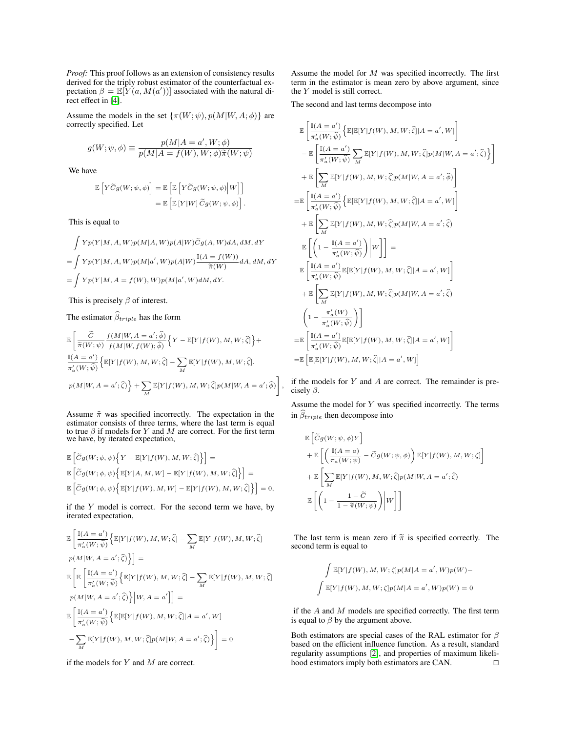*Proof:* This proof follows as an extension of consistency results derived for the triply robust estimator of the counterfactual expectation  $\beta = \mathbb{E}[Y(a, M(a'))]$  associated with the natural direct effect in [\[4\]](#page-4-2).

Assume the models in the set  $\{\pi(W; \psi), p(M|W, A; \phi)\}\)$  are correctly specified. Let

$$
g(W; \psi, \phi) \equiv \frac{p(M | A=a', W; \phi)}{p(M | A=f(W), W; \phi) \widetilde{\pi}(W; \psi)}
$$

We have

"

$$
\begin{aligned} \mathbb{E}\left[Y\widetilde{C}g(W;\psi,\phi)\right] &= \mathbb{E}\left[\mathbb{E}\left[Y\widetilde{C}g(W;\psi,\phi)\Big|W\right]\right] \\ &= \mathbb{E}\left[\mathbb{E}\left[Y|W\right]\widetilde{C}g(W;\psi,\phi)\right]. \end{aligned}
$$

This is equal to

$$
\int Yp(Y|M, A, W)p(M|A, W)p(A|W)\tilde{C}g(A, W)dA, dM, dY
$$
  
= 
$$
\int Yp(Y|M, A, W)p(M|a', W)p(A|W)\frac{\mathbb{I}(A = f(W))}{\widetilde{\pi}(W)}dA, dM, dY
$$
  
= 
$$
\int Yp(Y|M, A = f(W), W)p(M|a', W)dM, dY.
$$

This is precisely  $\beta$  of interest.

The estimator  $\widehat{\beta}_{triple}$  has the form

$$
\label{eq:3.1} \begin{split} &\mathbb{E}\left[\frac{\widetilde{C}}{\widetilde{\pi}(W;\psi)}\frac{f(M|W,A=a';\widehat{\phi})}{f(M|W,f(W);\widehat{\phi})}\Big\{Y-\mathbb{E}[Y|f(W),M,W;\widehat{\zeta}]\Big\}+\\ &\frac{\mathbb{I}(A=a')}{\pi_a'(W;\widehat{\psi})}\Big\{\mathbb{E}[Y|f(W),M,W;\widehat{\zeta}]-\sum_{M}\mathbb{E}[Y|f(W),M,W;\widehat{\zeta}].\\ &p(M|W,A=a';\widehat{\zeta})\Big\}+\sum_{M}\mathbb{E}[Y|f(W),M,W;\widehat{\zeta}]p(M|W,A=a';\widehat{\phi})\right] \end{split}
$$

Assume  $\tilde{\pi}$  was specified incorrectly. The expectation in the estimator consists of three terms, where the last term is equal to true  $\beta$  if models for Y and M are correct. For the first term we have, by iterated expectation,

$$
\begin{aligned} &\mathbb{E}\left[\widetilde{C}g(W;\phi,\psi)\Big\{Y-\mathbb{E}[Y|f(W),M,W;\widehat{\zeta}]\Big\}\right]=\\ &\mathbb{E}\left[\widetilde{C}g(W;\phi,\psi)\Big\{\mathbb{E}[Y|A,M,W]-\mathbb{E}[Y|f(W),M,W;\widehat{\zeta}]\Big\}\right]=\\ &\mathbb{E}\left[\widetilde{C}g(W;\phi,\psi)\Big\{\mathbb{E}[Y|f(W),M,W]-\mathbb{E}[Y|f(W),M,W;\widehat{\zeta}]\Big\}\right]=0, \end{aligned}
$$

if the  $Y$  model is correct. For the second term we have, by iterated expectation,

$$
\mathbb{E}\left[\frac{\mathbb{I}(A=a')}{\pi_a'(W;\widehat{\psi})}\Big\{\mathbb{E}[Y|f(W), M, W; \widehat{\zeta}] - \sum_{M} \mathbb{E}[Y|f(W), M, W; \widehat{\zeta}] \right]
$$
\n
$$
p(M|W, A=a'; \widehat{\zeta})\Big\} =
$$
\n
$$
\mathbb{E}\left[\mathbb{E}\left[\frac{\mathbb{I}(A=a')}{\pi_a'(W;\widehat{\psi})}\Big\{\mathbb{E}[Y|f(W), M, W; \widehat{\zeta}] - \sum_{M} \mathbb{E}[Y|f(W), M, W; \widehat{\zeta}] \right] \right]
$$
\n
$$
p(M|W, A=a'; \widehat{\zeta})\Big\}|W, A=a']\right] =
$$
\n
$$
\mathbb{E}\left[\frac{\mathbb{I}(A=a')}{\pi_a'(W;\widehat{\psi})}\Big\{\mathbb{E}[\mathbb{E}[Y|f(W), M, W; \widehat{\zeta}]|A=a', W] - \sum_{M} \mathbb{E}[Y|f(W), M, W; \widehat{\zeta}]p(M|W, A=a'; \widehat{\zeta})\Big\}\right] = 0
$$

if the models for  $Y$  and  $M$  are correct.

Assume the model for M was specified incorrectly. The first term in the estimator is mean zero by above argument, since the Y model is still correct.

The second and last terms decompose into

$$
\begin{split} &\mathbb{E}\left[\frac{\mathbb{I}(A=a')}{\pi_{a}'(W;\hat{\psi})}\Big\{\mathbb{E}[\mathbb{E}[Y|f(W),M,W;\hat{\zeta}]|A=a',W]\right]\\ &-\mathbb{E}\left[\frac{\mathbb{I}(A=a')}{\pi_{a}'(W;\hat{\psi})}\sum_{M}\mathbb{E}[Y|f(W),M,W;\hat{\zeta}]p(M|W,A=a';\hat{\zeta})\Big\}\right]\\ &+\mathbb{E}\left[\sum_{M}\mathbb{E}[Y|f(W),M,W;\hat{\zeta}]p(M|W,A=a';\hat{\phi})\right]\\ = &\mathbb{E}\left[\frac{\mathbb{I}(A=a')}{\pi_{a}'(W;\hat{\psi})}\Big\{\mathbb{E}[\mathbb{E}[Y|f(W),M,W;\hat{\zeta}]|A=a',W]\right]\\ &+\mathbb{E}\left[\sum_{M}\mathbb{E}[Y|f(W),M,W;\hat{\zeta}]p(M|W,A=a';\hat{\zeta})\right]\\ &\mathbb{E}\left[\left(1-\frac{\mathbb{I}(A=a')}{\pi_{a}'(W;\hat{\psi})}\right)\bigg|W\right]\right]=\\ &\mathbb{E}\left[\frac{\mathbb{I}(A=a')}{\pi_{a}'(W;\hat{\psi})}\mathbb{E}[\mathbb{E}[Y|f(W),M,W;\hat{\zeta}]|A=a',W]\right]\\ &+\mathbb{E}\left[\sum_{M}\mathbb{E}[Y|f(W),M,W;\hat{\zeta}]p(M|W,A=a';\hat{\zeta})\right]\\ &\left(1-\frac{\pi_{a}'(W)}{\pi_{a}'(W;\hat{\psi})}\right)\right]\\ = &\mathbb{E}\left[\frac{\mathbb{I}(A=a')}{\pi_{a}'(W;\hat{\psi})}\mathbb{E}[\mathbb{E}[Y|f(W),M,W;\hat{\zeta}]|A=a',W]\right]\\ = &\mathbb{E}\left[\mathbb{E}[\mathbb{E}[Y|f(W),M,W;\hat{\zeta}]|A=a',W]\right] \end{split}
$$

if the models for  $Y$  and  $A$  are correct. The remainder is precisely β.

,

Assume the model for Y was specified incorrectly. The terms in  $\hat{\beta}_{triple}$  then decompose into

$$
\begin{aligned} &\mathbb{E}\left[\widetilde{C}g(W;\psi,\phi)Y\right]\\ &+\mathbb{E}\left[\left(\frac{\mathbb{I}(A=a)}{\pi_{a}(W;\psi)}-\widetilde{C}g(W;\psi,\phi)\right)\mathbb{E}[Y|f(W),M,W;\zeta]\right]\\ &+\mathbb{E}\left[\sum_{M}\mathbb{E}[Y|f(W),M,W;\widehat{\zeta}]p(M|W,A=a';\widehat{\zeta})\\ &\mathbb{E}\left[\left(1-\frac{1-\widetilde{C}}{1-\widetilde{\pi}(W;\psi)}\right)\bigg|W\right]\right] \end{aligned}
$$

The last term is mean zero if  $\tilde{\pi}$  is specified correctly. The second term is equal to

$$
\int \mathbb{E}[Y|f(W), M, W; \zeta] p(M | A = a', W) p(W) -
$$
  

$$
\int \mathbb{E}[Y|f(W), M, W; \zeta] p(M | A = a', W) p(W) = 0
$$

if the A and M models are specified correctly. The first term is equal to  $\beta$  by the argument above.

Both estimators are special cases of the RAL estimator for  $\beta$ based on the efficient influence function. As a result, standard regularity assumptions [\[2\]](#page-4-3), and properties of maximum likelihood estimators imply both estimators are CAN.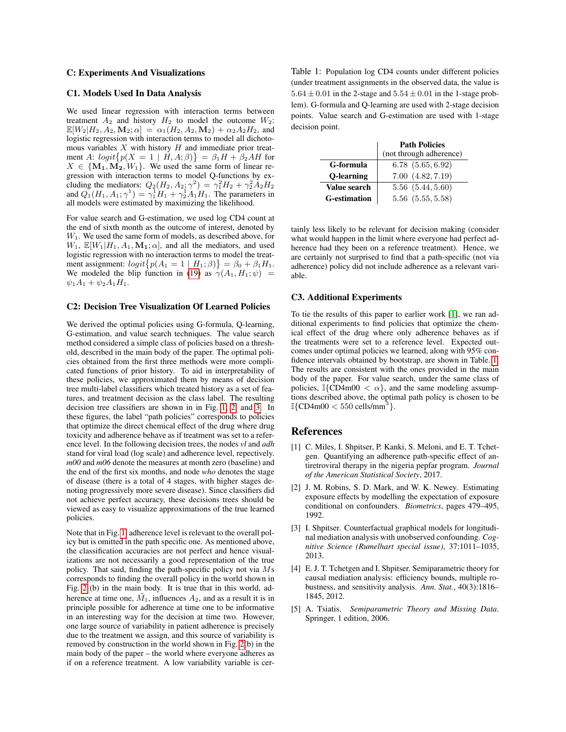#### C: Experiments And Visualizations

## C1. Models Used In Data Analysis

We used linear regression with interaction terms between treatment  $A_2$  and history  $H_2$  to model the outcome  $W_2$ :  $\mathbb{E}[W_2|H_2, A_2, \mathbf{M}_2; \alpha] = \alpha_1(H_2, A_2, \mathbf{M}_2) + \alpha_2 A_2 H_2$ , and logistic regression with interaction terms to model all dichotomous variables  $X$  with history  $H$  and immediate prior treatment A:  $logit\{p(X = 1 \mid H, A; \beta)\} = \beta_1 H + \beta_2 AH$  for  $X \in \{M_1, M_2, W_1\}$ . We used the same form of linear regression with interaction terms to model Q-functions by excluding the mediators:  $Q_2(H_2, A_2; \gamma^2) = \gamma_1^2 H_2 + \gamma_2^2 A_2 H_2$ and  $Q_1(H_1, A_1; \gamma^1) = \gamma_1^1 H_1 + \gamma_2^1 A_1 H_1$ . The parameters in all models were estimated by maximizing the likelihood.

For value search and G-estimation, we used log CD4 count at the end of sixth month as the outcome of interest, denoted by  $W<sub>1</sub>$ . We used the same form of models, as described above, for  $W_1$ ,  $\mathbb{E}[W_1|H_1, A_1, \mathbf{M}_1; \alpha]$ , and all the mediators, and used logistic regression with no interaction terms to model the treatment assignment:  $logit\{p(A_1 = 1 | H_1; \beta)\} = \beta_0 + \beta_1 H_1$ . We modeled the blip function in [\(19\)](#page-0-0) as  $\gamma(A_1, H_1; \psi)$  =  $\psi_1A_1 + \psi_2A_1H_1.$ 

#### C2: Decision Tree Visualization Of Learned Policies

We derived the optimal policies using G-formula, Q-learning, G-estimation, and value search techniques. The value search method considered a simple class of policies based on a threshold, described in the main body of the paper. The optimal policies obtained from the first three methods were more complicated functions of prior history. To aid in interpretability of these policies, we approximated them by means of decision tree multi-label classifiers which treated history as a set of features, and treatment decision as the class label. The resulting decision tree classifiers are shown in in Fig. [1,](#page-5-0) [2,](#page-5-1) and [3.](#page-5-2) In these figures, the label "path policies" corresponds to policies that optimize the direct chemical effect of the drug where drug toxicity and adherence behave as if treatment was set to a reference level. In the following decision trees, the nodes *vl* and *adh* stand for viral load (log scale) and adherence level, repectively. *m00* and *m06* denote the measures at month zero (baseline) and the end of the first six months, and node *who* denotes the stage of disease (there is a total of 4 stages, with higher stages denoting progressively more severe disease). Since classifiers did not achieve perfect accuracy, these decisions trees should be viewed as easy to visualize approximations of the true learned policies.

Note that in Fig. [1,](#page-5-0) adherence level is relevant to the overall policy but is omitted in the path specific one. As mentioned above, the classification accuracies are not perfect and hence visualizations are not necessarily a good representation of the true policy. That said, finding the path-specific policy not via Ms corresponds to finding the overall policy in the world shown in Fig. [2](#page-0-0) (b) in the main body. It is true that in this world, adherence at time one,  $M_1$ , influences  $A_2$ , and as a result it is in principle possible for adherence at time one to be informative in an interesting way for the decision at time two. However, one large source of variability in patient adherence is precisely due to the treatment we assign, and this source of variability is removed by construction in the world shown in Fig. [2\(](#page-0-0)b) in the main body of the paper – the world where everyone adheres as if on a reference treatment. A low variability variable is cer<span id="page-4-5"></span>Table 1: Population log CD4 counts under different policies (under treatment assignments in the observed data, the value is  $5.64 \pm 0.01$  in the 2-stage and  $5.54 \pm 0.01$  in the 1-stage problem). G-formula and Q-learning are used with 2-stage decision points. Value search and G-estimation are used with 1-stage decision point.

|                     | <b>Path Policies</b>    |
|---------------------|-------------------------|
|                     | (not through adherence) |
| G-formula           | 6.78(5.65, 6.92)        |
| <b>O-learning</b>   | 7.00(4.82, 7.19)        |
| Value search        | 5.56(5.44, 5.60)        |
| <b>G-estimation</b> | $5.56$ $(5.55, 5.58)$   |

tainly less likely to be relevant for decision making (consider what would happen in the limit where everyone had perfect adherence had they been on a reference treatment). Hence, we are certainly not surprised to find that a path-specific (not via adherence) policy did not include adherence as a relevant variable.

#### C3. Additional Experiments

To tie the results of this paper to earlier work [\[1\]](#page-4-4), we ran additional experiments to find policies that optimize the chemical effect of the drug where only adherence behaves as if the treatments were set to a reference level. Expected outcomes under optimal policies we learned, along with 95% confidence intervals obtained by bootstrap, are shown in Table. [1.](#page-4-5) The results are consistent with the ones provided in the main body of the paper. For value search, under the same class of policies,  $\mathbb{I}\{\text{CD4m00} < \alpha\}$ , and the same modeling assumptions described above, the optimal path policy is chosen to be  $\mathbb{I}\{\text{CD4m00} < 550 \text{ cells/mm}^3\}.$ 

# References

- <span id="page-4-4"></span>[1] C. Miles, I. Shpitser, P. Kanki, S. Meloni, and E. T. Tchetgen. Quantifying an adherence path-specific effect of antiretroviral therapy in the nigeria pepfar program. *Journal of the American Statistical Society*, 2017.
- <span id="page-4-3"></span>[2] J. M. Robins, S. D. Mark, and W. K. Newey. Estimating exposure effects by modelling the expectation of exposure conditional on confounders. *Biometrics*, pages 479–495, 1992.
- <span id="page-4-1"></span>[3] I. Shpitser. Counterfactual graphical models for longitudinal mediation analysis with unobserved confounding. *Cognitive Science (Rumelhart special issue)*, 37:1011–1035, 2013.
- <span id="page-4-2"></span>[4] E. J. T. Tchetgen and I. Shpitser. Semiparametric theory for causal mediation analysis: efficiency bounds, multiple robustness, and sensitivity analysis. *Ann. Stat.*, 40(3):1816– 1845, 2012.
- <span id="page-4-0"></span>[5] A. Tsiatis. *Semiparametric Theory and Missing Data*. Springer, 1 edition, 2006.